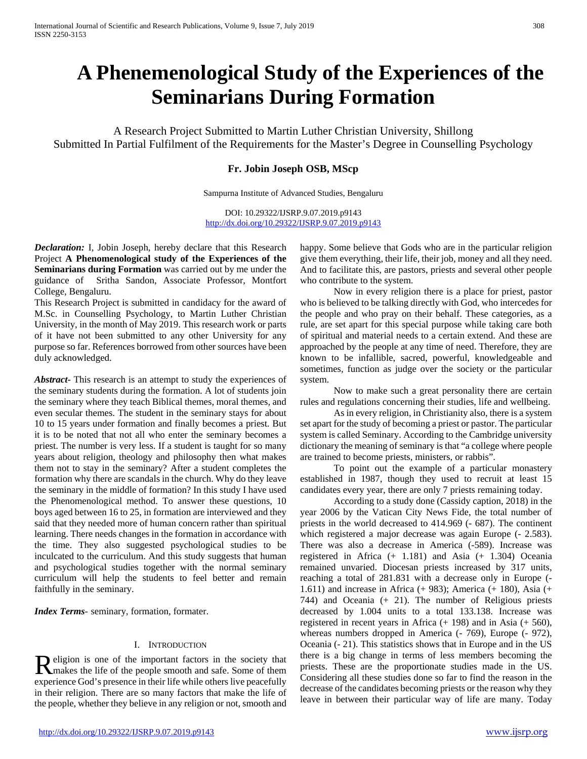# **A Phenemenological Study of the Experiences of the Seminarians During Formation**

A Research Project Submitted to Martin Luther Christian University, Shillong Submitted In Partial Fulfilment of the Requirements for the Master's Degree in Counselling Psychology

# **Fr. Jobin Joseph OSB, MScp**

Sampurna Institute of Advanced Studies, Bengaluru

DOI: 10.29322/IJSRP.9.07.2019.p9143 <http://dx.doi.org/10.29322/IJSRP.9.07.2019.p9143>

*Declaration:* I, Jobin Joseph, hereby declare that this Research Project **A Phenomenological study of the Experiences of the Seminarians during Formation** was carried out by me under the guidance of Sritha Sandon, Associate Professor, Montfort College, Bengaluru.

This Research Project is submitted in candidacy for the award of M.Sc. in Counselling Psychology, to Martin Luther Christian University, in the month of May 2019. This research work or parts of it have not been submitted to any other University for any purpose so far. References borrowed from other sources have been duly acknowledged.

*Abstract***-** This research is an attempt to study the experiences of the seminary students during the formation. A lot of students join the seminary where they teach Biblical themes, moral themes, and even secular themes. The student in the seminary stays for about 10 to 15 years under formation and finally becomes a priest. But it is to be noted that not all who enter the seminary becomes a priest. The number is very less. If a student is taught for so many years about religion, theology and philosophy then what makes them not to stay in the seminary? After a student completes the formation why there are scandals in the church. Why do they leave the seminary in the middle of formation? In this study I have used the Phenomenological method. To answer these questions, 10 boys aged between 16 to 25, in formation are interviewed and they said that they needed more of human concern rather than spiritual learning. There needs changes in the formation in accordance with the time. They also suggested psychological studies to be inculcated to the curriculum. And this study suggests that human and psychological studies together with the normal seminary curriculum will help the students to feel better and remain faithfully in the seminary.

*Index Terms*- seminary, formation, formater.

# I. INTRODUCTION

eligion is one of the important factors in the society that Religion is one of the important factors in the society that<br>
Religion is one of the people smooth and safe. Some of them<br>  $\frac{1}{2}$ experience God's presence in their life while others live peacefully in their religion. There are so many factors that make the life of the people, whether they believe in any religion or not, smooth and

<http://dx.doi.org/10.29322/IJSRP.9.07.2019.p9143> [www.ijsrp.org](http://ijsrp.org/)

happy. Some believe that Gods who are in the particular religion give them everything, their life, their job, money and all they need. And to facilitate this, are pastors, priests and several other people who contribute to the system.

 Now in every religion there is a place for priest, pastor who is believed to be talking directly with God, who intercedes for the people and who pray on their behalf. These categories, as a rule, are set apart for this special purpose while taking care both of spiritual and material needs to a certain extend. And these are approached by the people at any time of need. Therefore, they are known to be infallible, sacred, powerful, knowledgeable and sometimes, function as judge over the society or the particular system.

 Now to make such a great personality there are certain rules and regulations concerning their studies, life and wellbeing.

 As in every religion, in Christianity also, there is a system set apart for the study of becoming a priest or pastor. The particular system is called Seminary. According to the Cambridge university dictionary the meaning of seminary is that "a college where people are trained to become priests, ministers, or rabbis".

 To point out the example of a particular monastery established in 1987, though they used to recruit at least 15 candidates every year, there are only 7 priests remaining today.

 According to a study done (Cassidy caption, 2018) in the year 2006 by the Vatican City News Fide, the total number of priests in the world decreased to 414.969 (- 687). The continent which registered a major decrease was again Europe  $(-2.583)$ . There was also a decrease in America (-589). Increase was registered in Africa (+ 1.181) and Asia (+ 1.304) Oceania remained unvaried. Diocesan priests increased by 317 units, reaching a total of 281.831 with a decrease only in Europe (- 1.611) and increase in Africa (+ 983); America (+ 180), Asia (+ 744) and Oceania (+ 21). The number of Religious priests decreased by 1.004 units to a total 133.138. Increase was registered in recent years in Africa (+ 198) and in Asia (+ 560), whereas numbers dropped in America (- 769), Europe (- 972), Oceania (- 21). This statistics shows that in Europe and in the US there is a big change in terms of less members becoming the priests. These are the proportionate studies made in the US. Considering all these studies done so far to find the reason in the decrease of the candidates becoming priests or the reason why they leave in between their particular way of life are many. Today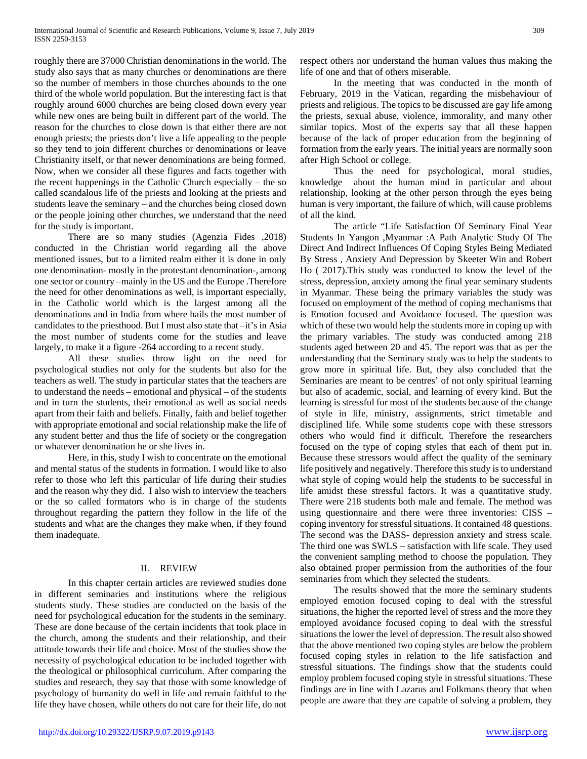roughly there are 37000 Christian denominations in the world. The study also says that as many churches or denominations are there so the number of members in those churches abounds to the one third of the whole world population. But the interesting fact is that roughly around 6000 churches are being closed down every year while new ones are being built in different part of the world. The reason for the churches to close down is that either there are not enough priests; the priests don't live a life appealing to the people so they tend to join different churches or denominations or leave Christianity itself, or that newer denominations are being formed. Now, when we consider all these figures and facts together with the recent happenings in the Catholic Church especially – the so called scandalous life of the priests and looking at the priests and students leave the seminary – and the churches being closed down or the people joining other churches, we understand that the need for the study is important.

 There are so many studies (Agenzia Fides ,2018) conducted in the Christian world regarding all the above mentioned issues, but to a limited realm either it is done in only one denomination- mostly in the protestant denomination-, among one sector or country –mainly in the US and the Europe .Therefore the need for other denominations as well, is important especially, in the Catholic world which is the largest among all the denominations and in India from where hails the most number of candidates to the priesthood. But I must also state that –it's in Asia the most number of students come for the studies and leave largely, to make it a figure -264 according to a recent study.

 All these studies throw light on the need for psychological studies not only for the students but also for the teachers as well. The study in particular states that the teachers are to understand the needs – emotional and physical – of the students and in turn the students, their emotional as well as social needs apart from their faith and beliefs. Finally, faith and belief together with appropriate emotional and social relationship make the life of any student better and thus the life of society or the congregation or whatever denomination he or she lives in.

 Here, in this, study I wish to concentrate on the emotional and mental status of the students in formation. I would like to also refer to those who left this particular of life during their studies and the reason why they did. I also wish to interview the teachers or the so called formators who is in charge of the students throughout regarding the pattern they follow in the life of the students and what are the changes they make when, if they found them inadequate.

# II. REVIEW

 In this chapter certain articles are reviewed studies done in different seminaries and institutions where the religious students study. These studies are conducted on the basis of the need for psychological education for the students in the seminary. These are done because of the certain incidents that took place in the church, among the students and their relationship, and their attitude towards their life and choice. Most of the studies show the necessity of psychological education to be included together with the theological or philosophical curriculum. After comparing the studies and research, they say that those with some knowledge of psychology of humanity do well in life and remain faithful to the life they have chosen, while others do not care for their life, do not respect others nor understand the human values thus making the life of one and that of others miserable.

 In the meeting that was conducted in the month of February, 2019 in the Vatican, regarding the misbehaviour of priests and religious. The topics to be discussed are gay life among the priests, sexual abuse, violence, immorality, and many other similar topics. Most of the experts say that all these happen because of the lack of proper education from the beginning of formation from the early years. The initial years are normally soon after High School or college.

 Thus the need for psychological, moral studies, knowledge about the human mind in particular and about relationship, looking at the other person through the eyes being human is very important, the failure of which, will cause problems of all the kind.

 The article "Life Satisfaction Of Seminary Final Year Students In Yangon ,Myanmar :A Path Analytic Study Of The Direct And Indirect Influences Of Coping Styles Being Mediated By Stress , Anxiety And Depression by Skeeter Win and Robert Ho ( 2017).This study was conducted to know the level of the stress, depression, anxiety among the final year seminary students in Myanmar. These being the primary variables the study was focused on employment of the method of coping mechanisms that is Emotion focused and Avoidance focused. The question was which of these two would help the students more in coping up with the primary variables. The study was conducted among 218 students aged between 20 and 45. The report was that as per the understanding that the Seminary study was to help the students to grow more in spiritual life. But, they also concluded that the Seminaries are meant to be centres' of not only spiritual learning but also of academic, social, and learning of every kind. But the learning is stressful for most of the students because of the change of style in life, ministry, assignments, strict timetable and disciplined life. While some students cope with these stressors others who would find it difficult. Therefore the researchers focused on the type of coping styles that each of them put in. Because these stressors would affect the quality of the seminary life positively and negatively. Therefore this study is to understand what style of coping would help the students to be successful in life amidst these stressful factors. It was a quantitative study. There were 218 students both male and female. The method was using questionnaire and there were three inventories: CISS – coping inventory for stressful situations. It contained 48 questions. The second was the DASS- depression anxiety and stress scale. The third one was SWLS – satisfaction with life scale. They used the convenient sampling method to choose the population. They also obtained proper permission from the authorities of the four seminaries from which they selected the students.

 The results showed that the more the seminary students employed emotion focused coping to deal with the stressful situations, the higher the reported level of stress and the more they employed avoidance focused coping to deal with the stressful situations the lower the level of depression. The result also showed that the above mentioned two coping styles are below the problem focused coping styles in relation to the life satisfaction and stressful situations. The findings show that the students could employ problem focused coping style in stressful situations. These findings are in line with Lazarus and Folkmans theory that when people are aware that they are capable of solving a problem, they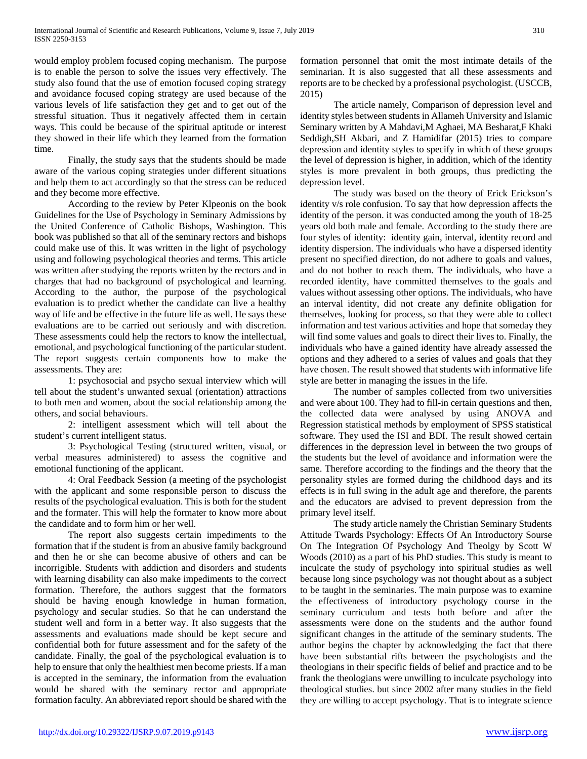would employ problem focused coping mechanism. The purpose is to enable the person to solve the issues very effectively. The study also found that the use of emotion focused coping strategy and avoidance focused coping strategy are used because of the various levels of life satisfaction they get and to get out of the stressful situation. Thus it negatively affected them in certain ways. This could be because of the spiritual aptitude or interest they showed in their life which they learned from the formation time.

 Finally, the study says that the students should be made aware of the various coping strategies under different situations and help them to act accordingly so that the stress can be reduced and they become more effective.

 According to the review by Peter Klpeonis on the book Guidelines for the Use of Psychology in Seminary Admissions by the United Conference of Catholic Bishops, Washington. This book was published so that all of the seminary rectors and bishops could make use of this. It was written in the light of psychology using and following psychological theories and terms. This article was written after studying the reports written by the rectors and in charges that had no background of psychological and learning. According to the author, the purpose of the psychological evaluation is to predict whether the candidate can live a healthy way of life and be effective in the future life as well. He says these evaluations are to be carried out seriously and with discretion. These assessments could help the rectors to know the intellectual, emotional, and psychological functioning of the particular student. The report suggests certain components how to make the assessments. They are:

 1: psychosocial and psycho sexual interview which will tell about the student's unwanted sexual (orientation) attractions to both men and women, about the social relationship among the others, and social behaviours.

 2: intelligent assessment which will tell about the student's current intelligent status.

 3: Psychological Testing (structured written, visual, or verbal measures administered) to assess the cognitive and emotional functioning of the applicant.

 4: Oral Feedback Session (a meeting of the psychologist with the applicant and some responsible person to discuss the results of the psychological evaluation. This is both for the student and the formater. This will help the formater to know more about the candidate and to form him or her well.

 The report also suggests certain impediments to the formation that if the student is from an abusive family background and then he or she can become abusive of others and can be incorrigible. Students with addiction and disorders and students with learning disability can also make impediments to the correct formation. Therefore, the authors suggest that the formators should be having enough knowledge in human formation, psychology and secular studies. So that he can understand the student well and form in a better way. It also suggests that the assessments and evaluations made should be kept secure and confidential both for future assessment and for the safety of the candidate. Finally, the goal of the psychological evaluation is to help to ensure that only the healthiest men become priests. If a man is accepted in the seminary, the information from the evaluation would be shared with the seminary rector and appropriate formation faculty. An abbreviated report should be shared with the

formation personnel that omit the most intimate details of the seminarian. It is also suggested that all these assessments and reports are to be checked by a professional psychologist. (USCCB, 2015)

 The article namely, Comparison of depression level and identity styles between students in Allameh University and Islamic Seminary written by A Mahdavi,M Aghaei, MA Besharat,F Khaki Seddigh,SH Akbari, and Z Hamidifar (2015) tries to compare depression and identity styles to specify in which of these groups the level of depression is higher, in addition, which of the identity styles is more prevalent in both groups, thus predicting the depression level.

 The study was based on the theory of Erick Erickson's identity v/s role confusion. To say that how depression affects the identity of the person. it was conducted among the youth of 18-25 years old both male and female. According to the study there are four styles of identity: identity gain, interval, identity record and identity dispersion. The individuals who have a dispersed identity present no specified direction, do not adhere to goals and values, and do not bother to reach them. The individuals, who have a recorded identity, have committed themselves to the goals and values without assessing other options. The individuals, who have an interval identity, did not create any definite obligation for themselves, looking for process, so that they were able to collect information and test various activities and hope that someday they will find some values and goals to direct their lives to. Finally, the individuals who have a gained identity have already assessed the options and they adhered to a series of values and goals that they have chosen. The result showed that students with informative life style are better in managing the issues in the life.

 The number of samples collected from two universities and were about 100. They had to fill-in certain questions and then, the collected data were analysed by using ANOVA and Regression statistical methods by employment of SPSS statistical software. They used the ISI and BDI. The result showed certain differences in the depression level in between the two groups of the students but the level of avoidance and information were the same. Therefore according to the findings and the theory that the personality styles are formed during the childhood days and its effects is in full swing in the adult age and therefore, the parents and the educators are advised to prevent depression from the primary level itself.

 The study article namely the Christian Seminary Students Attitude Twards Psychology: Effects Of An Introductory Sourse On The Integration Of Psychology And Theolgy by Scott W Woods (2010) as a part of his PhD studies. This study is meant to inculcate the study of psychology into spiritual studies as well because long since psychology was not thought about as a subject to be taught in the seminaries. The main purpose was to examine the effectiveness of introductory psychology course in the seminary curriculum and tests both before and after the assessments were done on the students and the author found significant changes in the attitude of the seminary students. The author begins the chapter by acknowledging the fact that there have been substantial rifts between the psychologists and the theologians in their specific fields of belief and practice and to be frank the theologians were unwilling to inculcate psychology into theological studies. but since 2002 after many studies in the field they are willing to accept psychology. That is to integrate science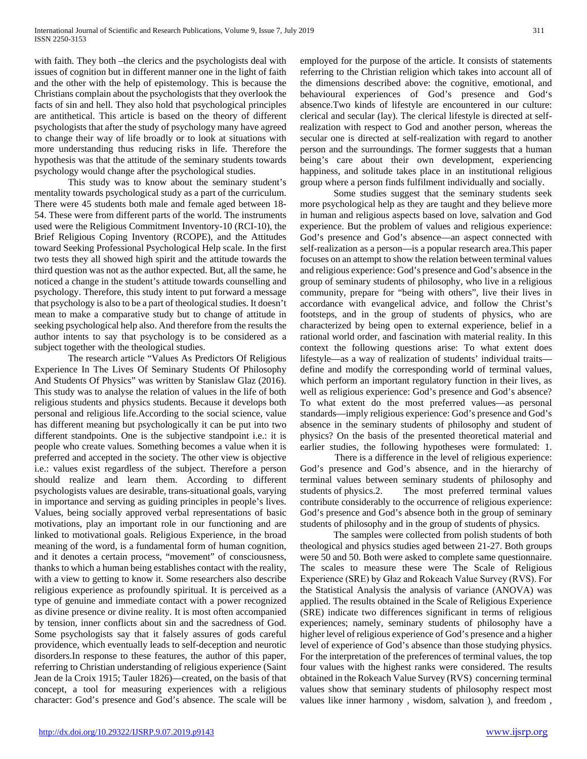with faith. They both –the clerics and the psychologists deal with issues of cognition but in different manner one in the light of faith and the other with the help of epistemology. This is because the Christians complain about the psychologists that they overlook the facts of sin and hell. They also hold that psychological principles are antithetical. This article is based on the theory of different psychologists that after the study of psychology many have agreed to change their way of life broadly or to look at situations with more understanding thus reducing risks in life. Therefore the hypothesis was that the attitude of the seminary students towards psychology would change after the psychological studies.

 This study was to know about the seminary student's mentality towards psychological study as a part of the curriculum. There were 45 students both male and female aged between 18- 54. These were from different parts of the world. The instruments used were the Religious Commitment Inventory-10 (RCI-10), the Brief Religious Coping Inventory (RCOPE), and the Attitudes toward Seeking Professional Psychological Help scale. In the first two tests they all showed high spirit and the attitude towards the third question was not as the author expected. But, all the same, he noticed a change in the student's attitude towards counselling and psychology. Therefore, this study intent to put forward a message that psychology is also to be a part of theological studies. It doesn't mean to make a comparative study but to change of attitude in seeking psychological help also. And therefore from the results the author intents to say that psychology is to be considered as a subject together with the theological studies.

 The research article "Values As Predictors Of Religious Experience In The Lives Of Seminary Students Of Philosophy And Students Of Physics" was written by Stanislaw Glaz (2016). This study was to analyse the relation of values in the life of both religious students and physics students. Because it develops both personal and religious life.According to the social science, value has different meaning but psychologically it can be put into two different standpoints. One is the subjective standpoint i.e.: it is people who create values. Something becomes a value when it is preferred and accepted in the society. The other view is objective i.e.: values exist regardless of the subject. Therefore a person should realize and learn them. According to different psychologists values are desirable, trans-situational goals, varying in importance and serving as guiding principles in people's lives. Values, being socially approved verbal representations of basic motivations, play an important role in our functioning and are linked to motivational goals. Religious Experience, in the broad meaning of the word, is a fundamental form of human cognition, and it denotes a certain process, "movement" of consciousness, thanks to which a human being establishes contact with the reality, with a view to getting to know it. Some researchers also describe religious experience as profoundly spiritual. It is perceived as a type of genuine and immediate contact with a power recognized as divine presence or divine reality. It is most often accompanied by tension, inner conflicts about sin and the sacredness of God. Some psychologists say that it falsely assures of gods careful providence, which eventually leads to self-deception and neurotic disorders.In response to these features, the author of this paper, referring to Christian understanding of religious experience (Saint Jean de la Croix 1915; Tauler 1826)—created, on the basis of that concept, a tool for measuring experiences with a religious character: God's presence and God's absence. The scale will be

employed for the purpose of the article. It consists of statements referring to the Christian religion which takes into account all of the dimensions described above: the cognitive, emotional, and behavioural experiences of God's presence and God's absence.Two kinds of lifestyle are encountered in our culture: clerical and secular (lay). The clerical lifestyle is directed at selfrealization with respect to God and another person, whereas the secular one is directed at self-realization with regard to another person and the surroundings. The former suggests that a human being's care about their own development, experiencing happiness, and solitude takes place in an institutional religious group where a person finds fulfilment individually and socially.

 Some studies suggest that the seminary students seek more psychological help as they are taught and they believe more in human and religious aspects based on love, salvation and God experience. But the problem of values and religious experience: God's presence and God's absence—an aspect connected with self-realization as a person—is a popular research area.This paper focuses on an attempt to show the relation between terminal values and religious experience: God's presence and God's absence in the group of seminary students of philosophy, who live in a religious community, prepare for "being with others", live their lives in accordance with evangelical advice, and follow the Christ's footsteps, and in the group of students of physics, who are characterized by being open to external experience, belief in a rational world order, and fascination with material reality. In this context the following questions arise: To what extent does lifestyle—as a way of realization of students' individual traits define and modify the corresponding world of terminal values, which perform an important regulatory function in their lives, as well as religious experience: God's presence and God's absence? To what extent do the most preferred values—as personal standards—imply religious experience: God's presence and God's absence in the seminary students of philosophy and student of physics? On the basis of the presented theoretical material and earlier studies, the following hypotheses were formulated: 1.

There is a difference in the level of religious experience: God's presence and God's absence, and in the hierarchy of terminal values between seminary students of philosophy and students of physics.2. The most preferred terminal values contribute considerably to the occurrence of religious experience: God's presence and God's absence both in the group of seminary students of philosophy and in the group of students of physics.

 The samples were collected from polish students of both theological and physics studies aged between 21-27. Both groups were 50 and 50. Both were asked to complete same questionnaire. The scales to measure these were The Scale of Religious Experience (SRE) by Głaz and Rokeach Value Survey (RVS). For the Statistical Analysis the analysis of variance (ANOVA) was applied. The results obtained in the Scale of Religious Experience (SRE) indicate two differences significant in terms of religious experiences; namely, seminary students of philosophy have a higher level of religious experience of God's presence and a higher level of experience of God's absence than those studying physics. For the interpretation of the preferences of terminal values, the top four values with the highest ranks were considered. The results obtained in the Rokeach Value Survey (RVS) concerning terminal values show that seminary students of philosophy respect most values like inner harmony , wisdom, salvation ), and freedom ,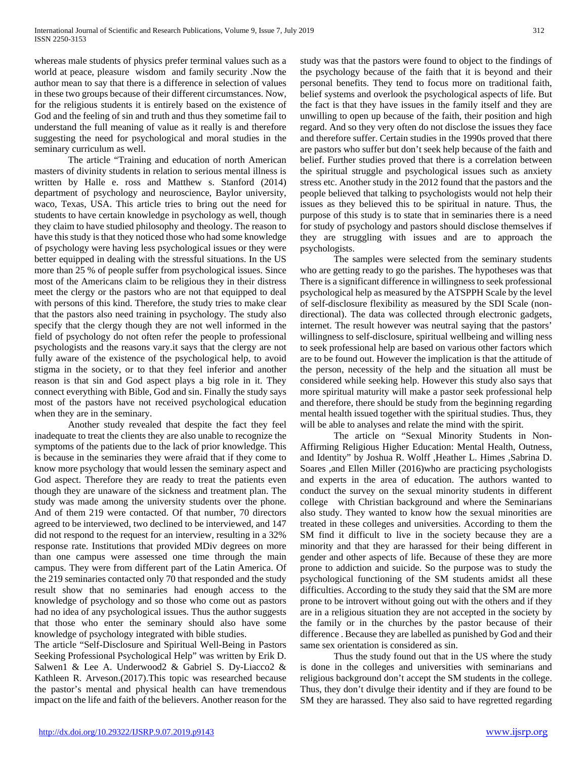whereas male students of physics prefer terminal values such as a world at peace, pleasure wisdom and family security .Now the author mean to say that there is a difference in selection of values in these two groups because of their different circumstances. Now, for the religious students it is entirely based on the existence of God and the feeling of sin and truth and thus they sometime fail to understand the full meaning of value as it really is and therefore suggesting the need for psychological and moral studies in the seminary curriculum as well.

 The article "Training and education of north American masters of divinity students in relation to serious mental illness is written by Halle e. ross and Matthew s. Stanford (2014) department of psychology and neuroscience, Baylor university, waco, Texas, USA. This article tries to bring out the need for students to have certain knowledge in psychology as well, though they claim to have studied philosophy and theology. The reason to have this study is that they noticed those who had some knowledge of psychology were having less psychological issues or they were better equipped in dealing with the stressful situations. In the US more than 25 % of people suffer from psychological issues. Since most of the Americans claim to be religious they in their distress meet the clergy or the pastors who are not that equipped to deal with persons of this kind. Therefore, the study tries to make clear that the pastors also need training in psychology. The study also specify that the clergy though they are not well informed in the field of psychology do not often refer the people to professional psychologists and the reasons vary.it says that the clergy are not fully aware of the existence of the psychological help, to avoid stigma in the society, or to that they feel inferior and another reason is that sin and God aspect plays a big role in it. They connect everything with Bible, God and sin. Finally the study says most of the pastors have not received psychological education when they are in the seminary.

 Another study revealed that despite the fact they feel inadequate to treat the clients they are also unable to recognize the symptoms of the patients due to the lack of prior knowledge. This is because in the seminaries they were afraid that if they come to know more psychology that would lessen the seminary aspect and God aspect. Therefore they are ready to treat the patients even though they are unaware of the sickness and treatment plan. The study was made among the university students over the phone. And of them 219 were contacted. Of that number, 70 directors agreed to be interviewed, two declined to be interviewed, and 147 did not respond to the request for an interview, resulting in a 32% response rate. Institutions that provided MDiv degrees on more than one campus were assessed one time through the main campus. They were from different part of the Latin America. Of the 219 seminaries contacted only 70 that responded and the study result show that no seminaries had enough access to the knowledge of psychology and so those who come out as pastors had no idea of any psychological issues. Thus the author suggests that those who enter the seminary should also have some knowledge of psychology integrated with bible studies.

The article "Self-Disclosure and Spiritual Well-Being in Pastors Seeking Professional Psychological Help" was written by Erik D. Salwen1 & Lee A. Underwood2 & Gabriel S. Dy-Liacco2 & Kathleen R. Arveson.(2017).This topic was researched because the pastor's mental and physical health can have tremendous impact on the life and faith of the believers. Another reason for the

study was that the pastors were found to object to the findings of the psychology because of the faith that it is beyond and their personal benefits. They tend to focus more on traditional faith, belief systems and overlook the psychological aspects of life. But the fact is that they have issues in the family itself and they are unwilling to open up because of the faith, their position and high regard. And so they very often do not disclose the issues they face and therefore suffer. Certain studies in the 1990s proved that there are pastors who suffer but don't seek help because of the faith and belief. Further studies proved that there is a correlation between the spiritual struggle and psychological issues such as anxiety stress etc. Another study in the 2012 found that the pastors and the people believed that talking to psychologists would not help their issues as they believed this to be spiritual in nature. Thus, the purpose of this study is to state that in seminaries there is a need for study of psychology and pastors should disclose themselves if they are struggling with issues and are to approach the psychologists.

 The samples were selected from the seminary students who are getting ready to go the parishes. The hypotheses was that There is a significant difference in willingness to seek professional psychological help as measured by the ATSPPH Scale by the level of self-disclosure flexibility as measured by the SDI Scale (nondirectional). The data was collected through electronic gadgets, internet. The result however was neutral saying that the pastors' willingness to self-disclosure, spiritual wellbeing and willing ness to seek professional help are based on various other factors which are to be found out. However the implication is that the attitude of the person, necessity of the help and the situation all must be considered while seeking help. However this study also says that more spiritual maturity will make a pastor seek professional help and therefore, there should be study from the beginning regarding mental health issued together with the spiritual studies. Thus, they will be able to analyses and relate the mind with the spirit.

 The article on "Sexual Minority Students in Non-Affirming Religious Higher Education: Mental Health, Outness, and Identity" by Joshua R. Wolff ,Heather L. Himes ,Sabrina D. Soares ,and Ellen Miller (2016)who are practicing psychologists and experts in the area of education. The authors wanted to conduct the survey on the sexual minority students in different college with Christian background and where the Seminarians also study. They wanted to know how the sexual minorities are treated in these colleges and universities. According to them the SM find it difficult to live in the society because they are a minority and that they are harassed for their being different in gender and other aspects of life. Because of these they are more prone to addiction and suicide. So the purpose was to study the psychological functioning of the SM students amidst all these difficulties. According to the study they said that the SM are more prone to be introvert without going out with the others and if they are in a religious situation they are not accepted in the society by the family or in the churches by the pastor because of their difference . Because they are labelled as punished by God and their same sex orientation is considered as sin.

 Thus the study found out that in the US where the study is done in the colleges and universities with seminarians and religious background don't accept the SM students in the college. Thus, they don't divulge their identity and if they are found to be SM they are harassed. They also said to have regretted regarding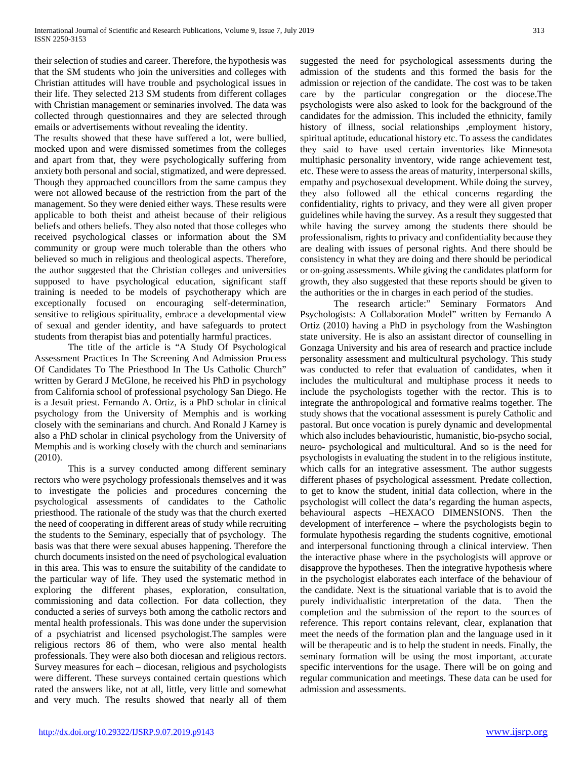their selection of studies and career. Therefore, the hypothesis was that the SM students who join the universities and colleges with Christian attitudes will have trouble and psychological issues in their life. They selected 213 SM students from different collages with Christian management or seminaries involved. The data was collected through questionnaires and they are selected through emails or advertisements without revealing the identity.

The results showed that these have suffered a lot, were bullied, mocked upon and were dismissed sometimes from the colleges and apart from that, they were psychologically suffering from anxiety both personal and social, stigmatized, and were depressed. Though they approached councillors from the same campus they were not allowed because of the restriction from the part of the management. So they were denied either ways. These results were applicable to both theist and atheist because of their religious beliefs and others beliefs. They also noted that those colleges who received psychological classes or information about the SM community or group were much tolerable than the others who believed so much in religious and theological aspects. Therefore, the author suggested that the Christian colleges and universities supposed to have psychological education, significant staff training is needed to be models of psychotherapy which are exceptionally focused on encouraging self-determination, sensitive to religious spirituality, embrace a developmental view of sexual and gender identity, and have safeguards to protect students from therapist bias and potentially harmful practices.

 The title of the article is "A Study Of Psychological Assessment Practices In The Screening And Admission Process Of Candidates To The Priesthood In The Us Catholic Church" written by Gerard J McGlone, he received his PhD in psychology from California school of professional psychology San Diego. He is a Jesuit priest. Fernando A. Ortiz, is a PhD scholar in clinical psychology from the University of Memphis and is working closely with the seminarians and church. And Ronald J Karney is also a PhD scholar in clinical psychology from the University of Memphis and is working closely with the church and seminarians (2010).

 This is a survey conducted among different seminary rectors who were psychology professionals themselves and it was to investigate the policies and procedures concerning the psychological assessments of candidates to the Catholic priesthood. The rationale of the study was that the church exerted the need of cooperating in different areas of study while recruiting the students to the Seminary, especially that of psychology. The basis was that there were sexual abuses happening. Therefore the church documents insisted on the need of psychological evaluation in this area. This was to ensure the suitability of the candidate to the particular way of life. They used the systematic method in exploring the different phases, exploration, consultation, commissioning and data collection. For data collection, they conducted a series of surveys both among the catholic rectors and mental health professionals. This was done under the supervision of a psychiatrist and licensed psychologist.The samples were religious rectors 86 of them, who were also mental health professionals. They were also both diocesan and religious rectors. Survey measures for each – diocesan, religious and psychologists were different. These surveys contained certain questions which rated the answers like, not at all, little, very little and somewhat and very much. The results showed that nearly all of them suggested the need for psychological assessments during the admission of the students and this formed the basis for the admission or rejection of the candidate. The cost was to be taken care by the particular congregation or the diocese.The psychologists were also asked to look for the background of the candidates for the admission. This included the ethnicity, family history of illness, social relationships ,employment history, spiritual aptitude, educational history etc. To assess the candidates they said to have used certain inventories like Minnesota multiphasic personality inventory, wide range achievement test, etc. These were to assess the areas of maturity, interpersonal skills, empathy and psychosexual development. While doing the survey, they also followed all the ethical concerns regarding the confidentiality, rights to privacy, and they were all given proper guidelines while having the survey. As a result they suggested that while having the survey among the students there should be professionalism, rights to privacy and confidentiality because they are dealing with issues of personal rights. And there should be consistency in what they are doing and there should be periodical or on-going assessments. While giving the candidates platform for growth, they also suggested that these reports should be given to the authorities or the in charges in each period of the studies.

 The research article:" Seminary Formators And Psychologists: A Collaboration Model" written by Fernando A Ortiz (2010) having a PhD in psychology from the Washington state university. He is also an assistant director of counselling in Gonzaga University and his area of research and practice include personality assessment and multicultural psychology. This study was conducted to refer that evaluation of candidates, when it includes the multicultural and multiphase process it needs to include the psychologists together with the rector. This is to integrate the anthropological and formative realms together. The study shows that the vocational assessment is purely Catholic and pastoral. But once vocation is purely dynamic and developmental which also includes behaviouristic, humanistic, bio-psycho social, neuro- psychological and multicultural. And so is the need for psychologists in evaluating the student in to the religious institute, which calls for an integrative assessment. The author suggests different phases of psychological assessment. Predate collection, to get to know the student, initial data collection, where in the psychologist will collect the data's regarding the human aspects, behavioural aspects –HEXACO DIMENSIONS. Then the development of interference – where the psychologists begin to formulate hypothesis regarding the students cognitive, emotional and interpersonal functioning through a clinical interview. Then the interactive phase where in the psychologists will approve or disapprove the hypotheses. Then the integrative hypothesis where in the psychologist elaborates each interface of the behaviour of the candidate. Next is the situational variable that is to avoid the purely individualistic interpretation of the data. Then the completion and the submission of the report to the sources of reference. This report contains relevant, clear, explanation that meet the needs of the formation plan and the language used in it will be therapeutic and is to help the student in needs. Finally, the seminary formation will be using the most important, accurate specific interventions for the usage. There will be on going and regular communication and meetings. These data can be used for admission and assessments.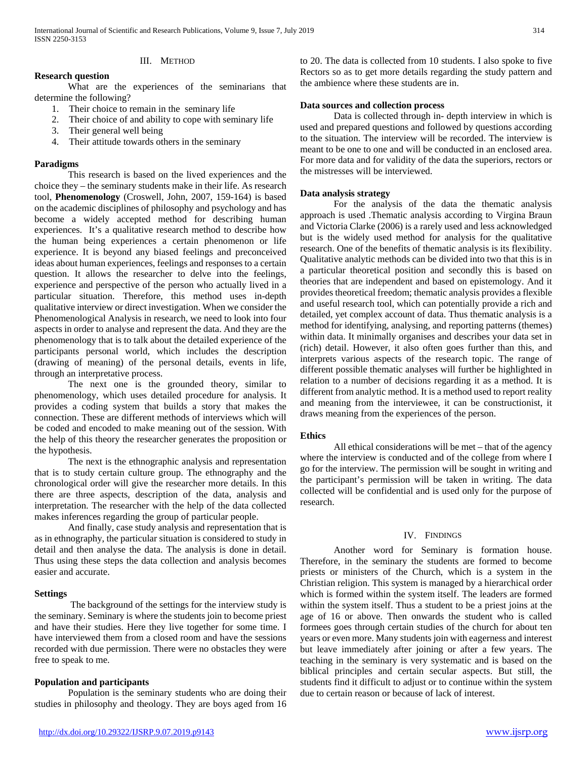# III. METHOD

# **Research question**

 What are the experiences of the seminarians that determine the following?

- 1. Their choice to remain in the seminary life
- 2. Their choice of and ability to cope with seminary life
- 3. Their general well being
- 4. Their attitude towards others in the seminary

## **Paradigms**

 This research is based on the lived experiences and the choice they – the seminary students make in their life. As research tool, **Phenomenology** (Croswell, John, 2007, 159-164) is based on the academic disciplines of philosophy and psychology and has become a widely accepted method for describing human experiences. It's a qualitative research method to describe how the human being experiences a certain phenomenon or life experience. It is beyond any biased feelings and preconceived ideas about human experiences, feelings and responses to a certain question. It allows the researcher to delve into the feelings, experience and perspective of the person who actually lived in a particular situation. Therefore, this method uses in-depth qualitative interview or direct investigation. When we consider the Phenomenological Analysis in research, we need to look into four aspects in order to analyse and represent the data. And they are the phenomenology that is to talk about the detailed experience of the participants personal world, which includes the description (drawing of meaning) of the personal details, events in life, through an interpretative process.

 The next one is the grounded theory, similar to phenomenology, which uses detailed procedure for analysis. It provides a coding system that builds a story that makes the connection. These are different methods of interviews which will be coded and encoded to make meaning out of the session. With the help of this theory the researcher generates the proposition or the hypothesis.

 The next is the ethnographic analysis and representation that is to study certain culture group. The ethnography and the chronological order will give the researcher more details. In this there are three aspects, description of the data, analysis and interpretation. The researcher with the help of the data collected makes inferences regarding the group of particular people.

 And finally, case study analysis and representation that is as in ethnography, the particular situation is considered to study in detail and then analyse the data. The analysis is done in detail. Thus using these steps the data collection and analysis becomes easier and accurate.

# **Settings**

 The background of the settings for the interview study is the seminary. Seminary is where the students join to become priest and have their studies. Here they live together for some time. I have interviewed them from a closed room and have the sessions recorded with due permission. There were no obstacles they were free to speak to me.

#### **Population and participants**

 Population is the seminary students who are doing their studies in philosophy and theology. They are boys aged from 16 to 20. The data is collected from 10 students. I also spoke to five Rectors so as to get more details regarding the study pattern and the ambience where these students are in.

## **Data sources and collection process**

 Data is collected through in- depth interview in which is used and prepared questions and followed by questions according to the situation. The interview will be recorded. The interview is meant to be one to one and will be conducted in an enclosed area. For more data and for validity of the data the superiors, rectors or the mistresses will be interviewed.

## **Data analysis strategy**

 For the analysis of the data the thematic analysis approach is used .Thematic analysis according to Virgina Braun and Victoria Clarke (2006) is a rarely used and less acknowledged but is the widely used method for analysis for the qualitative research. One of the benefits of thematic analysis is its flexibility. Qualitative analytic methods can be divided into two that this is in a particular theoretical position and secondly this is based on theories that are independent and based on epistemology. And it provides theoretical freedom; thematic analysis provides a flexible and useful research tool, which can potentially provide a rich and detailed, yet complex account of data. Thus thematic analysis is a method for identifying, analysing, and reporting patterns (themes) within data. It minimally organises and describes your data set in (rich) detail. However, it also often goes further than this, and interprets various aspects of the research topic. The range of different possible thematic analyses will further be highlighted in relation to a number of decisions regarding it as a method. It is different from analytic method. It is a method used to report reality and meaning from the interviewee, it can be constructionist, it draws meaning from the experiences of the person.

#### **Ethics**

 All ethical considerations will be met – that of the agency where the interview is conducted and of the college from where I go for the interview. The permission will be sought in writing and the participant's permission will be taken in writing. The data collected will be confidential and is used only for the purpose of research.

#### IV. FINDINGS

 Another word for Seminary is formation house. Therefore, in the seminary the students are formed to become priests or ministers of the Church, which is a system in the Christian religion. This system is managed by a hierarchical order which is formed within the system itself. The leaders are formed within the system itself. Thus a student to be a priest joins at the age of 16 or above. Then onwards the student who is called formees goes through certain studies of the church for about ten years or even more. Many students join with eagerness and interest but leave immediately after joining or after a few years. The teaching in the seminary is very systematic and is based on the biblical principles and certain secular aspects. But still, the students find it difficult to adjust or to continue within the system due to certain reason or because of lack of interest.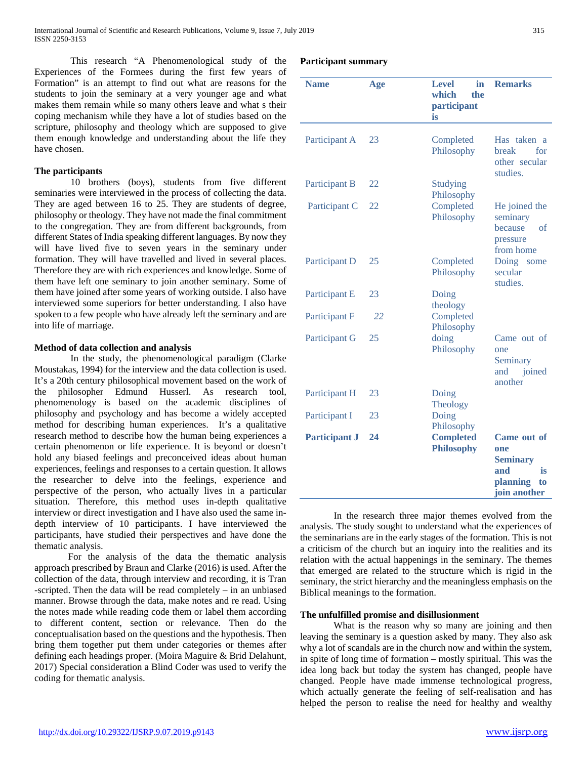This research "A Phenomenological study of the Experiences of the Formees during the first few years of Formation" is an attempt to find out what are reasons for the students to join the seminary at a very younger age and what makes them remain while so many others leave and what s their coping mechanism while they have a lot of studies based on the scripture, philosophy and theology which are supposed to give them enough knowledge and understanding about the life they have chosen.

# **The participants**

 10 brothers (boys), students from five different seminaries were interviewed in the process of collecting the data. They are aged between 16 to 25. They are students of degree, philosophy or theology. They have not made the final commitment to the congregation. They are from different backgrounds, from different States of India speaking different languages. By now they will have lived five to seven years in the seminary under formation. They will have travelled and lived in several places. Therefore they are with rich experiences and knowledge. Some of them have left one seminary to join another seminary. Some of them have joined after some years of working outside. I also have interviewed some superiors for better understanding. I also have spoken to a few people who have already left the seminary and are into life of marriage.

# **Method of data collection and analysis**

 In the study, the phenomenological paradigm (Clarke Moustakas, 1994) for the interview and the data collection is used. It's a 20th century philosophical movement based on the work of the philosopher Edmund Husserl. As research tool, phenomenology is based on the academic disciplines of philosophy and psychology and has become a widely accepted method for describing human experiences. It's a qualitative research method to describe how the human being experiences a certain phenomenon or life experience. It is beyond or doesn't hold any biased feelings and preconceived ideas about human experiences, feelings and responses to a certain question. It allows the researcher to delve into the feelings, experience and perspective of the person, who actually lives in a particular situation. Therefore, this method uses in-depth qualitative interview or direct investigation and I have also used the same indepth interview of 10 participants. I have interviewed the participants, have studied their perspectives and have done the thematic analysis.

 For the analysis of the data the thematic analysis approach prescribed by Braun and Clarke (2016) is used. After the collection of the data, through interview and recording, it is Tran -scripted. Then the data will be read completely – in an unbiased manner. Browse through the data, make notes and re read. Using the notes made while reading code them or label them according to different content, section or relevance. Then do the conceptualisation based on the questions and the hypothesis. Then bring them together put them under categories or themes after defining each headings proper. (Moira Maguire & Brid Delahunt, 2017) Special consideration a Blind Coder was used to verify the coding for thematic analysis.

# **Participant summary**

| <b>Name</b>          | Age | <b>Level</b><br>in<br>which<br>the<br>participant<br>is | <b>Remarks</b>                                                                       |
|----------------------|-----|---------------------------------------------------------|--------------------------------------------------------------------------------------|
| Participant A        | 23  | Completed<br>Philosophy                                 | Has taken a<br>break<br>for<br>other secular<br>studies.                             |
| Participant B        | 22  | <b>Studying</b><br>Philosophy                           |                                                                                      |
| Participant C        | 22  | Completed<br>Philosophy                                 | He joined the<br>seminary<br>because<br>of<br>pressure<br>from home                  |
| Participant D        | 25  | Completed<br>Philosophy                                 | Doing<br>some<br>secular<br>studies.                                                 |
| Participant E        | 23  | Doing<br>theology                                       |                                                                                      |
| Participant F        | 22  | Completed<br>Philosophy                                 |                                                                                      |
| Participant G        | 25  | doing<br>Philosophy                                     | Came out of<br>one<br>Seminary<br>joined<br>and<br>another                           |
| Participant H        | 23  | Doing<br>Theology                                       |                                                                                      |
| Participant I        | 23  | Doing<br>Philosophy                                     |                                                                                      |
| <b>Participant J</b> | 24  | <b>Completed</b><br><b>Philosophy</b>                   | Came out of<br>one<br><b>Seminary</b><br>and<br>is<br>planning<br>to<br>join another |

 In the research three major themes evolved from the analysis. The study sought to understand what the experiences of the seminarians are in the early stages of the formation. This is not a criticism of the church but an inquiry into the realities and its relation with the actual happenings in the seminary. The themes that emerged are related to the structure which is rigid in the seminary, the strict hierarchy and the meaningless emphasis on the Biblical meanings to the formation.

# **The unfulfilled promise and disillusionment**

 What is the reason why so many are joining and then leaving the seminary is a question asked by many. They also ask why a lot of scandals are in the church now and within the system, in spite of long time of formation – mostly spiritual. This was the idea long back but today the system has changed, people have changed. People have made immense technological progress, which actually generate the feeling of self-realisation and has helped the person to realise the need for healthy and wealthy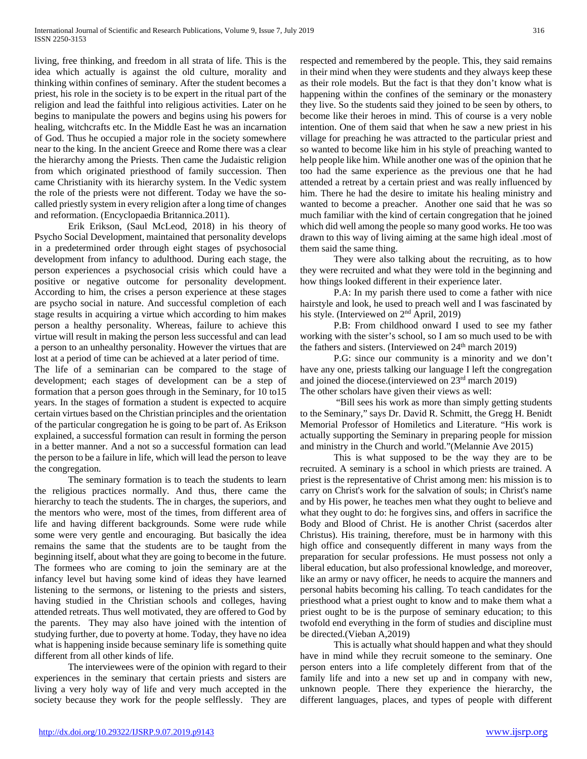living, free thinking, and freedom in all strata of life. This is the idea which actually is against the old culture, morality and thinking within confines of seminary. After the student becomes a priest, his role in the society is to be expert in the ritual part of the religion and lead the faithful into religious activities. Later on he begins to manipulate the powers and begins using his powers for healing, witchcrafts etc. In the Middle East he was an incarnation of God. Thus he occupied a major role in the society somewhere near to the king. In the ancient Greece and Rome there was a clear the hierarchy among the Priests. Then came the Judaistic religion from which originated priesthood of family succession. Then came Christianity with its hierarchy system. In the Vedic system the role of the priests were not different. Today we have the socalled priestly system in every religion after a long time of changes and reformation. (Encyclopaedia Britannica.2011).

 Erik Erikson, (Saul McLeod, 2018) in his theory of Psycho Social Development, maintained that personality develops in a predetermined order through eight stages of psychosocial development from infancy to adulthood. During each stage, the person experiences a psychosocial crisis which could have a positive or negative outcome for personality development. According to him, the crises a person experience at these stages are psycho social in nature. And successful completion of each stage results in acquiring a virtue which according to him makes person a healthy personality. Whereas, failure to achieve this virtue will result in making the person less successful and can lead a person to an unhealthy personality. However the virtues that are lost at a period of time can be achieved at a later period of time.

The life of a seminarian can be compared to the stage of development; each stages of development can be a step of formation that a person goes through in the Seminary, for 10 to15 years. In the stages of formation a student is expected to acquire certain virtues based on the Christian principles and the orientation of the particular congregation he is going to be part of. As Erikson explained, a successful formation can result in forming the person in a better manner. And a not so a successful formation can lead the person to be a failure in life, which will lead the person to leave the congregation.

 The seminary formation is to teach the students to learn the religious practices normally. And thus, there came the hierarchy to teach the students. The in charges, the superiors, and the mentors who were, most of the times, from different area of life and having different backgrounds. Some were rude while some were very gentle and encouraging. But basically the idea remains the same that the students are to be taught from the beginning itself, about what they are going to become in the future. The formees who are coming to join the seminary are at the infancy level but having some kind of ideas they have learned listening to the sermons, or listening to the priests and sisters, having studied in the Christian schools and colleges, having attended retreats. Thus well motivated, they are offered to God by the parents. They may also have joined with the intention of studying further, due to poverty at home. Today, they have no idea what is happening inside because seminary life is something quite different from all other kinds of life.

 The interviewees were of the opinion with regard to their experiences in the seminary that certain priests and sisters are living a very holy way of life and very much accepted in the society because they work for the people selflessly. They are

respected and remembered by the people. This, they said remains in their mind when they were students and they always keep these as their role models. But the fact is that they don't know what is happening within the confines of the seminary or the monastery they live. So the students said they joined to be seen by others, to become like their heroes in mind. This of course is a very noble intention. One of them said that when he saw a new priest in his village for preaching he was attracted to the particular priest and so wanted to become like him in his style of preaching wanted to help people like him. While another one was of the opinion that he too had the same experience as the previous one that he had attended a retreat by a certain priest and was really influenced by him. There he had the desire to imitate his healing ministry and wanted to become a preacher. Another one said that he was so much familiar with the kind of certain congregation that he joined which did well among the people so many good works. He too was drawn to this way of living aiming at the same high ideal .most of them said the same thing.

 They were also talking about the recruiting, as to how they were recruited and what they were told in the beginning and how things looked different in their experience later.

 P.A: In my parish there used to come a father with nice hairstyle and look, he used to preach well and I was fascinated by his style. (Interviewed on 2<sup>nd</sup> April, 2019)

 P.B: From childhood onward I used to see my father working with the sister's school, so I am so much used to be with the fathers and sisters. (Interviewed on 24<sup>th</sup> march 2019)

 P.G: since our community is a minority and we don't have any one, priests talking our language I left the congregation and joined the diocese.(interviewed on 23rd march 2019) The other scholars have given their views as well:

 "Bill sees his work as more than simply getting students to the Seminary," says Dr. David R. Schmitt, the Gregg H. Benidt Memorial Professor of Homiletics and Literature. "His work is actually supporting the Seminary in preparing people for mission and ministry in the Church and world."(Melannie Ave 2015)

 This is what supposed to be the way they are to be recruited. A seminary is a school in which priests are trained. A priest is the representative of Christ among men: his mission is to carry on Christ's work for the salvation of souls; in Christ's name and by His power, he teaches men what they ought to believe and what they ought to do: he forgives sins, and offers in sacrifice the Body and Blood of Christ. He is another Christ (sacerdos alter Christus). His training, therefore, must be in harmony with this high office and consequently different in many ways from the preparation for secular professions. He must possess not only a liberal education, but also professional knowledge, and moreover, like an army or navy officer, he needs to acquire the manners and personal habits becoming his calling. To teach candidates for the priesthood what a priest ought to know and to make them what a priest ought to be is the purpose of seminary education; to this twofold end everything in the form of studies and discipline must be directed.(Vieban A,2019)

 This is actually what should happen and what they should have in mind while they recruit someone to the seminary. One person enters into a life completely different from that of the family life and into a new set up and in company with new, unknown people. There they experience the hierarchy, the different languages, places, and types of people with different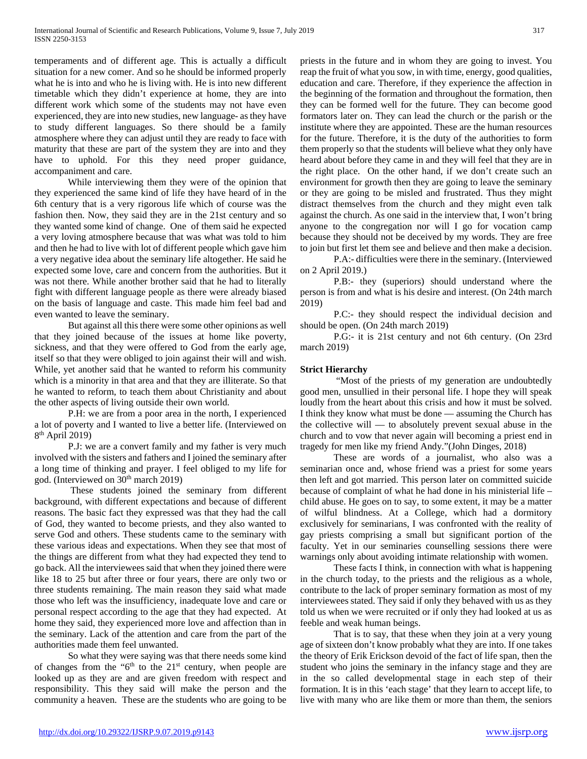temperaments and of different age. This is actually a difficult situation for a new comer. And so he should be informed properly what he is into and who he is living with. He is into new different timetable which they didn't experience at home, they are into different work which some of the students may not have even experienced, they are into new studies, new language- as they have to study different languages. So there should be a family atmosphere where they can adjust until they are ready to face with maturity that these are part of the system they are into and they have to uphold. For this they need proper guidance, accompaniment and care.

 While interviewing them they were of the opinion that they experienced the same kind of life they have heard of in the 6th century that is a very rigorous life which of course was the fashion then. Now, they said they are in the 21st century and so they wanted some kind of change. One of them said he expected a very loving atmosphere because that was what was told to him and then he had to live with lot of different people which gave him a very negative idea about the seminary life altogether. He said he expected some love, care and concern from the authorities. But it was not there. While another brother said that he had to literally fight with different language people as there were already biased on the basis of language and caste. This made him feel bad and even wanted to leave the seminary.

 But against all this there were some other opinions as well that they joined because of the issues at home like poverty, sickness, and that they were offered to God from the early age, itself so that they were obliged to join against their will and wish. While, yet another said that he wanted to reform his community which is a minority in that area and that they are illiterate. So that he wanted to reform, to teach them about Christianity and about the other aspects of living outside their own world.

 P.H: we are from a poor area in the north, I experienced a lot of poverty and I wanted to live a better life. (Interviewed on  $8<sup>th</sup>$  April 2019)

 P.J: we are a convert family and my father is very much involved with the sisters and fathers and I joined the seminary after a long time of thinking and prayer. I feel obliged to my life for god. (Interviewed on 30<sup>th</sup> march 2019)

 These students joined the seminary from different background, with different expectations and because of different reasons. The basic fact they expressed was that they had the call of God, they wanted to become priests, and they also wanted to serve God and others. These students came to the seminary with these various ideas and expectations. When they see that most of the things are different from what they had expected they tend to go back. All the interviewees said that when they joined there were like 18 to 25 but after three or four years, there are only two or three students remaining. The main reason they said what made those who left was the insufficiency, inadequate love and care or personal respect according to the age that they had expected. At home they said, they experienced more love and affection than in the seminary. Lack of the attention and care from the part of the authorities made them feel unwanted.

 So what they were saying was that there needs some kind of changes from the " $6<sup>th</sup>$  to the 21<sup>st</sup> century, when people are looked up as they are and are given freedom with respect and responsibility. This they said will make the person and the community a heaven. These are the students who are going to be priests in the future and in whom they are going to invest. You reap the fruit of what you sow, in with time, energy, good qualities, education and care. Therefore, if they experience the affection in the beginning of the formation and throughout the formation, then they can be formed well for the future. They can become good formators later on. They can lead the church or the parish or the institute where they are appointed. These are the human resources for the future. Therefore, it is the duty of the authorities to form them properly so that the students will believe what they only have heard about before they came in and they will feel that they are in the right place. On the other hand, if we don't create such an environment for growth then they are going to leave the seminary or they are going to be misled and frustrated. Thus they might distract themselves from the church and they might even talk against the church. As one said in the interview that, I won't bring anyone to the congregation nor will I go for vocation camp because they should not be deceived by my words. They are free to join but first let them see and believe and then make a decision.

 P.A:- difficulties were there in the seminary. (Interviewed on 2 April 2019.)

 P.B:- they (superiors) should understand where the person is from and what is his desire and interest. (On 24th march 2019)

 P.C:- they should respect the individual decision and should be open. (On 24th march 2019)

 P.G:- it is 21st century and not 6th century. (On 23rd march 2019)

# **Strict Hierarchy**

 "Most of the priests of my generation are undoubtedly good men, unsullied in their personal life. I hope they will speak loudly from the heart about this crisis and how it must be solved. I think they know what must be done — assuming the Church has the collective will — to absolutely prevent sexual abuse in the church and to vow that never again will becoming a priest end in tragedy for men like my friend Andy."(John Dinges, 2018)

 These are words of a journalist, who also was a seminarian once and, whose friend was a priest for some years then left and got married. This person later on committed suicide because of complaint of what he had done in his ministerial life – child abuse. He goes on to say, to some extent, it may be a matter of wilful blindness. At a College, which had a dormitory exclusively for seminarians, I was confronted with the reality of gay priests comprising a small but significant portion of the faculty. Yet in our seminaries counselling sessions there were warnings only about avoiding intimate relationship with women.

 These facts I think, in connection with what is happening in the church today, to the priests and the religious as a whole, contribute to the lack of proper seminary formation as most of my interviewees stated. They said if only they behaved with us as they told us when we were recruited or if only they had looked at us as feeble and weak human beings.

 That is to say, that these when they join at a very young age of sixteen don't know probably what they are into. If one takes the theory of Erik Erickson devoid of the fact of life span, then the student who joins the seminary in the infancy stage and they are in the so called developmental stage in each step of their formation. It is in this 'each stage' that they learn to accept life, to live with many who are like them or more than them, the seniors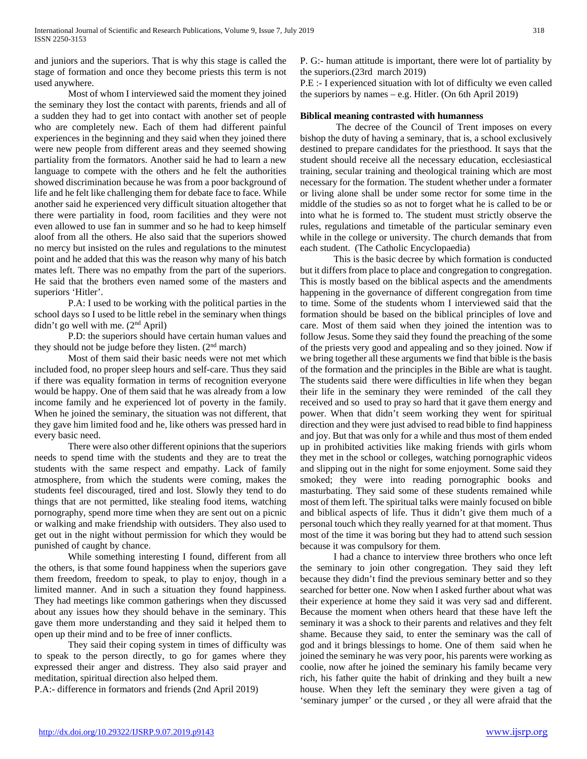and juniors and the superiors. That is why this stage is called the stage of formation and once they become priests this term is not used anywhere.

 Most of whom I interviewed said the moment they joined the seminary they lost the contact with parents, friends and all of a sudden they had to get into contact with another set of people who are completely new. Each of them had different painful experiences in the beginning and they said when they joined there were new people from different areas and they seemed showing partiality from the formators. Another said he had to learn a new language to compete with the others and he felt the authorities showed discrimination because he was from a poor background of life and he felt like challenging them for debate face to face. While another said he experienced very difficult situation altogether that there were partiality in food, room facilities and they were not even allowed to use fan in summer and so he had to keep himself aloof from all the others. He also said that the superiors showed no mercy but insisted on the rules and regulations to the minutest point and he added that this was the reason why many of his batch mates left. There was no empathy from the part of the superiors. He said that the brothers even named some of the masters and superiors 'Hitler'.

 P.A: I used to be working with the political parties in the school days so I used to be little rebel in the seminary when things didn't go well with me. (2nd April)

 P.D: the superiors should have certain human values and they should not be judge before they listen. (2nd march)

 Most of them said their basic needs were not met which included food, no proper sleep hours and self-care. Thus they said if there was equality formation in terms of recognition everyone would be happy. One of them said that he was already from a low income family and he experienced lot of poverty in the family. When he joined the seminary, the situation was not different, that they gave him limited food and he, like others was pressed hard in every basic need.

 There were also other different opinions that the superiors needs to spend time with the students and they are to treat the students with the same respect and empathy. Lack of family atmosphere, from which the students were coming, makes the students feel discouraged, tired and lost. Slowly they tend to do things that are not permitted, like stealing food items, watching pornography, spend more time when they are sent out on a picnic or walking and make friendship with outsiders. They also used to get out in the night without permission for which they would be punished of caught by chance.

 While something interesting I found, different from all the others, is that some found happiness when the superiors gave them freedom, freedom to speak, to play to enjoy, though in a limited manner. And in such a situation they found happiness. They had meetings like common gatherings when they discussed about any issues how they should behave in the seminary. This gave them more understanding and they said it helped them to open up their mind and to be free of inner conflicts.

 They said their coping system in times of difficulty was to speak to the person directly, to go for games where they expressed their anger and distress. They also said prayer and meditation, spiritual direction also helped them.

P.A:- difference in formators and friends (2nd April 2019)

P. G:- human attitude is important, there were lot of partiality by the superiors.(23rd march 2019)

P.E :- I experienced situation with lot of difficulty we even called the superiors by names – e.g. Hitler. (On 6th April 2019)

# **Biblical meaning contrasted with humanness**

 The decree of the Council of Trent imposes on every bishop the duty of having a seminary, that is, a school exclusively destined to prepare candidates for the priesthood. It says that the student should receive all the necessary education, ecclesiastical training, secular training and theological training which are most necessary for the formation. The student whether under a formater or living alone shall be under some rector for some time in the middle of the studies so as not to forget what he is called to be or into what he is formed to. The student must strictly observe the rules, regulations and timetable of the particular seminary even while in the college or university. The church demands that from each student. (The Catholic Encyclopaedia)

 This is the basic decree by which formation is conducted but it differs from place to place and congregation to congregation. This is mostly based on the biblical aspects and the amendments happening in the governance of different congregation from time to time. Some of the students whom I interviewed said that the formation should be based on the biblical principles of love and care. Most of them said when they joined the intention was to follow Jesus. Some they said they found the preaching of the some of the priests very good and appealing and so they joined. Now if we bring together all these arguments we find that bible is the basis of the formation and the principles in the Bible are what is taught. The students said there were difficulties in life when they began their life in the seminary they were reminded of the call they received and so used to pray so hard that it gave them energy and power. When that didn't seem working they went for spiritual direction and they were just advised to read bible to find happiness and joy. But that was only for a while and thus most of them ended up in prohibited activities like making friends with girls whom they met in the school or colleges, watching pornographic videos and slipping out in the night for some enjoyment. Some said they smoked; they were into reading pornographic books and masturbating. They said some of these students remained while most of them left. The spiritual talks were mainly focused on bible and biblical aspects of life. Thus it didn't give them much of a personal touch which they really yearned for at that moment. Thus most of the time it was boring but they had to attend such session because it was compulsory for them.

 I had a chance to interview three brothers who once left the seminary to join other congregation. They said they left because they didn't find the previous seminary better and so they searched for better one. Now when I asked further about what was their experience at home they said it was very sad and different. Because the moment when others heard that these have left the seminary it was a shock to their parents and relatives and they felt shame. Because they said, to enter the seminary was the call of god and it brings blessings to home. One of them said when he joined the seminary he was very poor, his parents were working as coolie, now after he joined the seminary his family became very rich, his father quite the habit of drinking and they built a new house. When they left the seminary they were given a tag of 'seminary jumper' or the cursed , or they all were afraid that the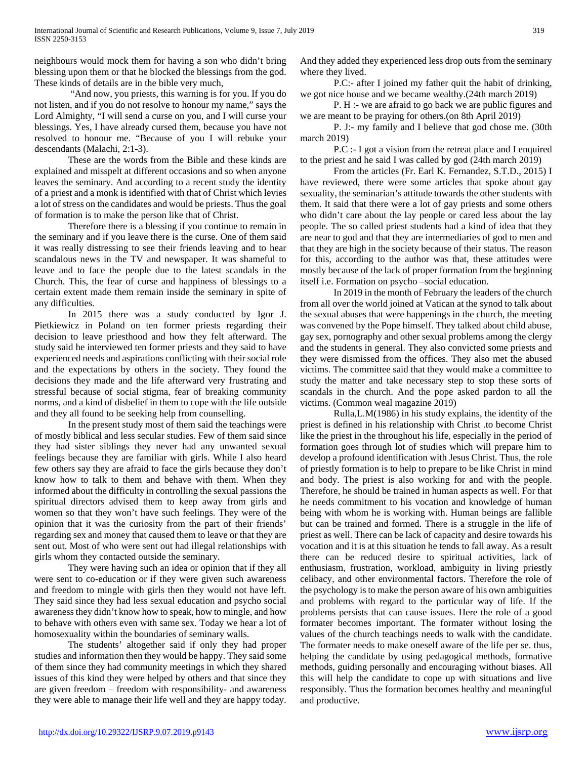neighbours would mock them for having a son who didn't bring blessing upon them or that he blocked the blessings from the god. These kinds of details are in the bible very much,

 "And now, you priests, this warning is for you. If you do not listen, and if you do not resolve to honour my name," says the Lord Almighty, "I will send a curse on you, and I will curse your blessings. Yes, I have already cursed them, because you have not resolved to honour me. "Because of you I will rebuke your descendants (Malachi, 2:1-3).

 These are the words from the Bible and these kinds are explained and misspelt at different occasions and so when anyone leaves the seminary. And according to a recent study the identity of a priest and a monk is identified with that of Christ which levies a lot of stress on the candidates and would be priests. Thus the goal of formation is to make the person like that of Christ.

 Therefore there is a blessing if you continue to remain in the seminary and if you leave there is the curse. One of them said it was really distressing to see their friends leaving and to hear scandalous news in the TV and newspaper. It was shameful to leave and to face the people due to the latest scandals in the Church. This, the fear of curse and happiness of blessings to a certain extent made them remain inside the seminary in spite of any difficulties.

 In 2015 there was a study conducted by Igor J. Pietkiewicz in Poland on ten former priests regarding their decision to leave priesthood and how they felt afterward. The study said he interviewed ten former priests and they said to have experienced needs and aspirations conflicting with their social role and the expectations by others in the society. They found the decisions they made and the life afterward very frustrating and stressful because of social stigma, fear of breaking community norms, and a kind of disbelief in them to cope with the life outside and they all found to be seeking help from counselling.

 In the present study most of them said the teachings were of mostly biblical and less secular studies. Few of them said since they had sister siblings they never had any unwanted sexual feelings because they are familiar with girls. While I also heard few others say they are afraid to face the girls because they don't know how to talk to them and behave with them. When they informed about the difficulty in controlling the sexual passions the spiritual directors advised them to keep away from girls and women so that they won't have such feelings. They were of the opinion that it was the curiosity from the part of their friends' regarding sex and money that caused them to leave or that they are sent out. Most of who were sent out had illegal relationships with girls whom they contacted outside the seminary.

 They were having such an idea or opinion that if they all were sent to co-education or if they were given such awareness and freedom to mingle with girls then they would not have left. They said since they had less sexual education and psycho social awareness they didn't know how to speak, how to mingle, and how to behave with others even with same sex. Today we hear a lot of homosexuality within the boundaries of seminary walls.

 The students' altogether said if only they had proper studies and information then they would be happy. They said some of them since they had community meetings in which they shared issues of this kind they were helped by others and that since they are given freedom – freedom with responsibility- and awareness they were able to manage their life well and they are happy today. And they added they experienced less drop outs from the seminary where they lived.

 P.C:- after I joined my father quit the habit of drinking, we got nice house and we became wealthy.(24th march 2019)

 P. H :- we are afraid to go back we are public figures and we are meant to be praying for others.(on 8th April 2019)

 P. J:- my family and I believe that god chose me. (30th march 2019)

 P.C :- I got a vision from the retreat place and I enquired to the priest and he said I was called by god (24th march 2019)

 From the articles (Fr. Earl K. Fernandez, S.T.D., 2015) I have reviewed, there were some articles that spoke about gay sexuality, the seminarian's attitude towards the other students with them. It said that there were a lot of gay priests and some others who didn't care about the lay people or cared less about the lay people. The so called priest students had a kind of idea that they are near to god and that they are intermediaries of god to men and that they are high in the society because of their status. The reason for this, according to the author was that, these attitudes were mostly because of the lack of proper formation from the beginning itself i.e. Formation on psycho –social education.

 In 2019 in the month of February the leaders of the church from all over the world joined at Vatican at the synod to talk about the sexual abuses that were happenings in the church, the meeting was convened by the Pope himself. They talked about child abuse, gay sex, pornography and other sexual problems among the clergy and the students in general. They also convicted some priests and they were dismissed from the offices. They also met the abused victims. The committee said that they would make a committee to study the matter and take necessary step to stop these sorts of scandals in the church. And the pope asked pardon to all the victims. (Common weal magazine 2019)

 Rulla,L.M(1986) in his study explains, the identity of the priest is defined in his relationship with Christ .to become Christ like the priest in the throughout his life, especially in the period of formation goes through lot of studies which will prepare him to develop a profound identification with Jesus Christ. Thus, the role of priestly formation is to help to prepare to be like Christ in mind and body. The priest is also working for and with the people. Therefore, he should be trained in human aspects as well. For that he needs commitment to his vocation and knowledge of human being with whom he is working with. Human beings are fallible but can be trained and formed. There is a struggle in the life of priest as well. There can be lack of capacity and desire towards his vocation and it is at this situation he tends to fall away. As a result there can be reduced desire to spiritual activities, lack of enthusiasm, frustration, workload, ambiguity in living priestly celibacy, and other environmental factors. Therefore the role of the psychology is to make the person aware of his own ambiguities and problems with regard to the particular way of life. If the problems persists that can cause issues. Here the role of a good formater becomes important. The formater without losing the values of the church teachings needs to walk with the candidate. The formater needs to make oneself aware of the life per se. thus, helping the candidate by using pedagogical methods, formative methods, guiding personally and encouraging without biases. All this will help the candidate to cope up with situations and live responsibly. Thus the formation becomes healthy and meaningful and productive.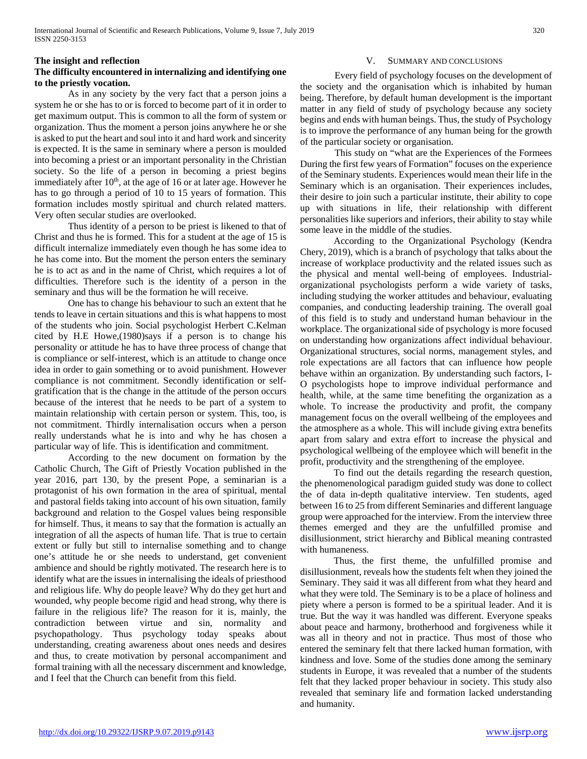## **The insight and reflection**

# **The difficulty encountered in internalizing and identifying one to the priestly vocation.**

 As in any society by the very fact that a person joins a system he or she has to or is forced to become part of it in order to get maximum output. This is common to all the form of system or organization. Thus the moment a person joins anywhere he or she is asked to put the heart and soul into it and hard work and sincerity is expected. It is the same in seminary where a person is moulded into becoming a priest or an important personality in the Christian society. So the life of a person in becoming a priest begins immediately after  $10<sup>th</sup>$ , at the age of 16 or at later age. However he has to go through a period of 10 to 15 years of formation. This formation includes mostly spiritual and church related matters. Very often secular studies are overlooked.

 Thus identity of a person to be priest is likened to that of Christ and thus he is formed. This for a student at the age of 15 is difficult internalize immediately even though he has some idea to he has come into. But the moment the person enters the seminary he is to act as and in the name of Christ, which requires a lot of difficulties. Therefore such is the identity of a person in the seminary and thus will be the formation he will receive.

 One has to change his behaviour to such an extent that he tends to leave in certain situations and this is what happens to most of the students who join. Social psychologist Herbert C.Kelman cited by H.E Howe,(1980)says if a person is to change his personality or attitude he has to have three process of change that is compliance or self-interest, which is an attitude to change once idea in order to gain something or to avoid punishment. However compliance is not commitment. Secondly identification or selfgratification that is the change in the attitude of the person occurs because of the interest that he needs to be part of a system to maintain relationship with certain person or system. This, too, is not commitment. Thirdly internalisation occurs when a person really understands what he is into and why he has chosen a particular way of life. This is identification and commitment.

 According to the new document on formation by the Catholic Church, The Gift of Priestly Vocation published in the year 2016, part 130, by the present Pope, a seminarian is a protagonist of his own formation in the area of spiritual, mental and pastoral fields taking into account of his own situation, family background and relation to the Gospel values being responsible for himself. Thus, it means to say that the formation is actually an integration of all the aspects of human life. That is true to certain extent or fully but still to internalise something and to change one's attitude he or she needs to understand, get convenient ambience and should be rightly motivated. The research here is to identify what are the issues in internalising the ideals of priesthood and religious life. Why do people leave? Why do they get hurt and wounded, why people become rigid and head strong, why there is failure in the religious life? The reason for it is, mainly, the contradiction between virtue and sin, normality and psychopathology. Thus psychology today speaks about understanding, creating awareness about ones needs and desires and thus, to create motivation by personal accompaniment and formal training with all the necessary discernment and knowledge, and I feel that the Church can benefit from this field.

#### SUMMARY AND CONCLUSIONS

Every field of psychology focuses on the development of the society and the organisation which is inhabited by human being. Therefore, by default human development is the important matter in any field of study of psychology because any society begins and ends with human beings. Thus, the study of Psychology is to improve the performance of any human being for the growth of the particular society or organisation.

This study on "what are the Experiences of the Formees During the first few years of Formation" focuses on the experience of the Seminary students. Experiences would mean their life in the Seminary which is an organisation. Their experiences includes, their desire to join such a particular institute, their ability to cope up with situations in life, their relationship with different personalities like superiors and inferiors, their ability to stay while some leave in the middle of the studies.

 According to the Organizational Psychology (Kendra Chery, 2019), which is a branch of psychology that talks about the increase of workplace productivity and the related issues such as the physical and mental well-being of employees. Industrialorganizational psychologists perform a wide variety of tasks, including studying the worker attitudes and behaviour, evaluating companies, and conducting leadership training. The overall goal of this field is to study and understand human behaviour in the workplace. The organizational side of psychology is more focused on understanding how organizations affect individual behaviour. Organizational structures, social norms, management styles, and role expectations are all factors that can influence how people behave within an organization. By understanding such factors, I-O psychologists hope to improve individual performance and health, while, at the same time benefiting the organization as a whole. To increase the productivity and profit, the company management focus on the overall wellbeing of the employees and the atmosphere as a whole. This will include giving extra benefits apart from salary and extra effort to increase the physical and psychological wellbeing of the employee which will benefit in the profit, productivity and the strengthening of the employee.

 To find out the details regarding the research question, the phenomenological paradigm guided study was done to collect the of data in-depth qualitative interview. Ten students, aged between 16 to 25 from different Seminaries and different language group were approached for the interview. From the interview three themes emerged and they are the unfulfilled promise and disillusionment, strict hierarchy and Biblical meaning contrasted with humaneness.

 Thus, the first theme, the unfulfilled promise and disillusionment, reveals how the students felt when they joined the Seminary. They said it was all different from what they heard and what they were told. The Seminary is to be a place of holiness and piety where a person is formed to be a spiritual leader. And it is true. But the way it was handled was different. Everyone speaks about peace and harmony, brotherhood and forgiveness while it was all in theory and not in practice. Thus most of those who entered the seminary felt that there lacked human formation, with kindness and love. Some of the studies done among the seminary students in Europe, it was revealed that a number of the students felt that they lacked proper behaviour in society. This study also revealed that seminary life and formation lacked understanding and humanity.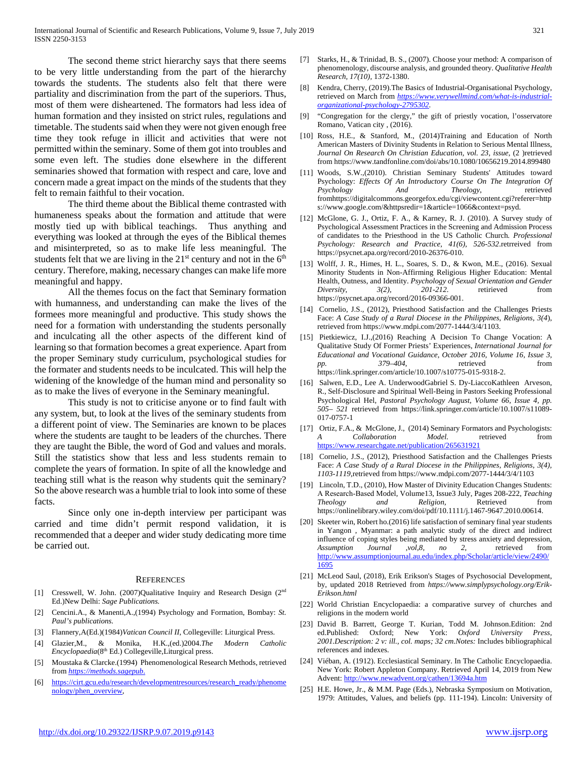The second theme strict hierarchy says that there seems to be very little understanding from the part of the hierarchy towards the students. The students also felt that there were partiality and discrimination from the part of the superiors. Thus, most of them were disheartened. The formators had less idea of human formation and they insisted on strict rules, regulations and timetable. The students said when they were not given enough free time they took refuge in illicit and activities that were not permitted within the seminary. Some of them got into troubles and some even left. The studies done elsewhere in the different seminaries showed that formation with respect and care, love and concern made a great impact on the minds of the students that they felt to remain faithful to their vocation.

 The third theme about the Biblical theme contrasted with humaneness speaks about the formation and attitude that were mostly tied up with biblical teachings. Thus anything and everything was looked at through the eyes of the Biblical themes and misinterpreted, so as to make life less meaningful. The students felt that we are living in the  $21<sup>st</sup>$  century and not in the  $6<sup>th</sup>$ century. Therefore, making, necessary changes can make life more meaningful and happy.

 All the themes focus on the fact that Seminary formation with humanness, and understanding can make the lives of the formees more meaningful and productive. This study shows the need for a formation with understanding the students personally and inculcating all the other aspects of the different kind of learning so that formation becomes a great experience. Apart from the proper Seminary study curriculum, psychological studies for the formater and students needs to be inculcated. This will help the widening of the knowledge of the human mind and personality so as to make the lives of everyone in the Seminary meaningful.

 This study is not to criticise anyone or to find fault with any system, but, to look at the lives of the seminary students from a different point of view. The Seminaries are known to be places where the students are taught to be leaders of the churches. There they are taught the Bible, the word of God and values and morals. Still the statistics show that less and less students remain to complete the years of formation. In spite of all the knowledge and teaching still what is the reason why students quit the seminary? So the above research was a humble trial to look into some of these facts.

 Since only one in-depth interview per participant was carried and time didn't permit respond validation, it is recommended that a deeper and wider study dedicating more time be carried out.

#### **REFERENCES**

- [1] Cresswell, W. John. (2007)Qualitative Inquiry and Research Design (2<sup>nd</sup>) Ed.)New Delhi: *Sage Publications.*
- [2] Cencini.A., & Manenti,A.,(1994) Psychology and Formation, Bombay: *St. Paul's publications.*
- [3] Flannery,A(Ed.)(1984)*Vatican Council II,* Collegeville: Liturgical Press.
- [4] Glazier,M., & Monika, H.K.,(ed.)2004.*The Modern Catholic Encyclopaedia*(8th Ed.) Collegeville,Liturgical press.
- [5] Moustaka & Clarcke.(1994) Phenomenological Research Methods, retrieved from *[https://methods.sagepub](https://methods.sagepub./)*.
- [6] [https://cirt.gcu.edu/research/developmentresources/research\\_ready/phenome](https://cirt.gcu.edu/research/developmentresources/research_ready/phenomenology/phen_overview) [nology/phen\\_overview,](https://cirt.gcu.edu/research/developmentresources/research_ready/phenomenology/phen_overview)
- [7] Starks, H., & Trinidad, B. S., (2007). Choose your method: A comparison of phenomenology, discourse analysis, and grounded theory. *Qualitative Health Research, 17(10),* 1372-1380.
- Kendra, Cherry, (2019).The Basics of Industrial-Organisational Psychology, retrieved on March from *[https://www.verywellmind.com/what-is-industrial](https://www.verywellmind.com/what-is-industrial-organizational-psychology-2795302)[organizational-psychology-2795302](https://www.verywellmind.com/what-is-industrial-organizational-psychology-2795302)*.
- [9] "Congregation for the clergy," the gift of priestly vocation, l'osservatore Romano, Vatican city , (2016).
- [10] Ross, H.E., & Stanford, M., (2014)Training and Education of North American Masters of Divinity Students in Relation to Serious Mental Illness, *Journal On Research On Christian Education, vol. 23, issue*, (2 )retrieved from https://www.tandfonline.com/doi/abs/10.1080/10656219.2014.899480
- [11] Woods, S.W.,(2010). Christian Seminary Students' Attitudes toward Psychology: *Effects Of An Introductory Course On The Integration Of Psychology And Theology*, retrieved fromhttps://digitalcommons.georgefox.edu/cgi/viewcontent.cgi?referer=http s://www.google.com/&httpsredir=1&article=1066&context=psyd.
- [12] McGlone, G. J., Ortiz, F. A., & Karney, R. J. (2010). A Survey study of Psychological Assessment Practices in the Screening and Admission Process of candidates to the Priesthood in the US Catholic Church*. Professional Psychology: Research and Practice, 41(6), 526-532*.retrreived from https://psycnet.apa.org/record/2010-26376-010.
- [13] Wolff, J. R., Himes, H. L., Soares, S. D., & Kwon, M.E., (2016). Sexual Minority Students in Non-Affirming Religious Higher Education: Mental Health, Outness, and Identity. *Psychology of Sexual Orientation and Gender Diversity*, *3(2), 201-212*. retirieved from https://psycnet.apa.org/record/2016-09366-001.
- [14] Cornelio, J.S., (2012), Priesthood Satisfaction and the Challenges Priests Face: *A Case Study of a Rural Diocese in the Philippines, Religions, 3(4*), retrieved from https://www.mdpi.com/2077-1444/3/4/1103.
- [15] Pietkiewicz, I.J.,(2016) Reaching A Decision To Change Vocation: A Qualitative Study Of Former Priests' Experiences, *International Journal for Educational and Vocational Guidance*, *October 2016, Volume 16, Issue 3, pp. 379–404*, retrieved from https://link.springer.com/article/10.1007/s10775-015-9318-2.
- [16] Salwen, E.D., Lee A. UnderwoodGabriel S. Dy-LiaccoKathleen Arveson, R., Self-Disclosure and Spiritual Well-Being in Pastors Seeking Professional Psychological Hel, *Pastoral Psychology August, Volume 66, Issue 4, pp. 505– 521* retrieved from https://link.springer.com/article/10.1007/s11089- 017-0757-1
- [17] Ortiz, F.A., & McGlone, J., (2014) Seminary Formators and Psychologists: *A Collaboration Model.* retrieved from <https://www.researchgate.net/publication/265631921>
- [18] Cornelio, J.S., (2012), Priesthood Satisfaction and the Challenges Priests Face: *A Case Study of a Rural Diocese in the Philippines, Religions, 3(4), 1103-1119*,retrieved from https://www.mdpi.com/2077-1444/3/4/1103
- [19] Lincoln, T.D., (2010), How Master of Divinity Education Changes Students: A Research‐Based Model, Volume13, Issue3 July, Pages 208-222, *Teaching Theology* and *Religion*, Retrieved from https://onlinelibrary.wiley.com/doi/pdf/10.1111/j.1467-9647.2010.00614.
- [20] Skeeter win, Robert ho.(2016) life satisfaction of seminary final year students in Yangon , Myanmar: a path analytic study of the direct and indirect influence of coping styles being mediated by stress anxiety and depression, *Assumption Journal* ,*vol,8, no 2*, retrieved from [http://www.assumptionjournal.au.edu/index.php/Scholar/article/view/2490/](http://www.assumptionjournal.au.edu/index.php/Scholar/article/view/2490/1695) [1695](http://www.assumptionjournal.au.edu/index.php/Scholar/article/view/2490/1695)
- [21] McLeod Saul, (2018), Erik Erikson's Stages of Psychosocial Development, by, updated 2018 Retrieved from *https://www.simplypsychology.org/Erik-Erikson.html*
- [22] World Christian Encyclopaedia: a comparative survey of churches and religions in the modern world
- [23] David B. Barrett, George T. Kurian, Todd M. Johnson.Edition: 2nd ed.Published: Oxford; New York: *Oxford University Press, 2001.Description: 2 v: ill., col. maps; 32 cm.Notes:* Includes bibliographical references and indexes.
- [24] Viéban, A. (1912). Ecclesiastical Seminary. In The Catholic Encyclopaedia. New York: Robert Appleton Company. Retrieved April 14, 2019 from New Advent:<http://www.newadvent.org/cathen/13694a.htm>
- [25] H.E. Howe, Jr., & M.M. Page (Eds.), Nebraska Symposium on Motivation, 1979: Attitudes, Values, and beliefs (pp. 111-194). Lincoln: University of